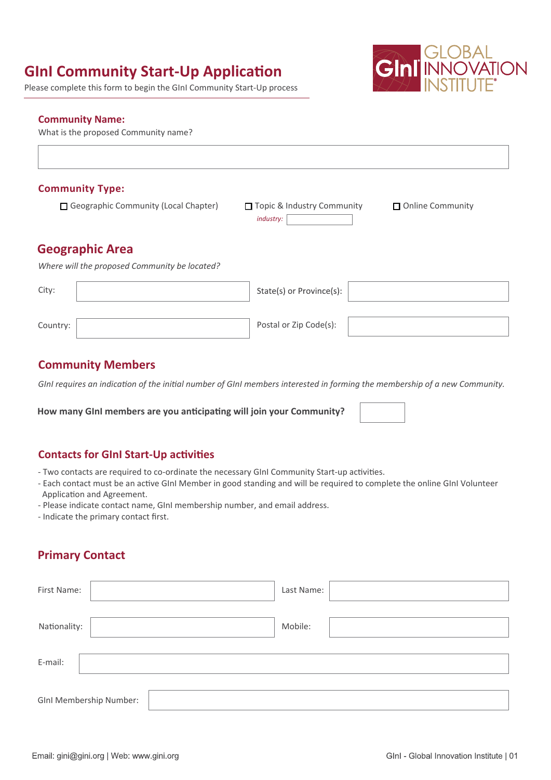# **GInI Community Start-Up Application**

Please complete this form to begin the GInI Community Start-Up process



#### **Community Name:**

What is the proposed Community name?

#### **Community Type:**

Geographic Community (Local Chapter)

*industry:* □ Topic & Industry Community □ Online Community

### **Geographic Area**

*Where will the proposed Community be located?*

| City:    | State(s) or Province(s): $\vert$ |  |
|----------|----------------------------------|--|
| Country: | Postal or Zip Code(s):           |  |

### **Community Members**

*GInI requires an indication of the initial number of GInI members interested in forming the membership of a new Community.*

How many GInI members are you anticipating will join your Community?

#### **Contacts for GInI Start-Up activities**

- Two contacts are required to co-ordinate the necessary GInI Community Start-up activities.
- Each contact must be an active GInI Member in good standing and will be required to complete the online GInI Volunteer Application and Agreement.
- Please indicate contact name, GInI membership number, and email address.
- Indicate the primary contact first.

## **Primary Contact**

| First Name:             |  |  | Last Name: |  |  |  |
|-------------------------|--|--|------------|--|--|--|
| Nationality:            |  |  | Mobile:    |  |  |  |
| E-mail:                 |  |  |            |  |  |  |
| GInI Membership Number: |  |  |            |  |  |  |